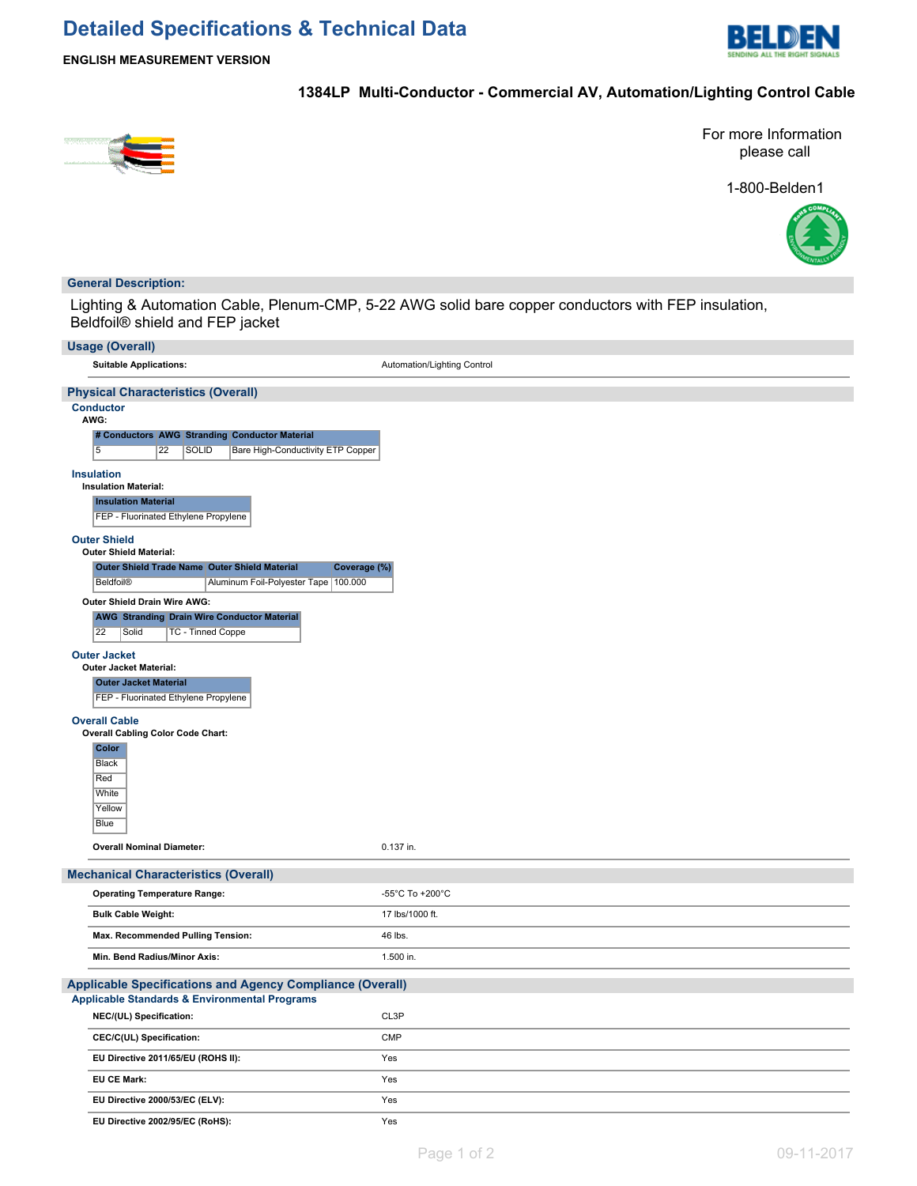# **Detailed Specifications & Technical Data**



**ENGLISH MEASUREMENT VERSION**

## **1384LP Multi-Conductor - Commercial AV, Automation/Lighting Control Cable**



For more Information please call

1-800-Belden1



### **General Description:**

Lighting & Automation Cable, Plenum-CMP, 5-22 AWG solid bare copper conductors with FEP insulation, Beldfoil® shield and FEP jacket

| <b>Usage (Overall)</b>                                                                                                                                 |                             |
|--------------------------------------------------------------------------------------------------------------------------------------------------------|-----------------------------|
| <b>Suitable Applications:</b>                                                                                                                          | Automation/Lighting Control |
| <b>Physical Characteristics (Overall)</b>                                                                                                              |                             |
| <b>Conductor</b><br>AWG:<br># Conductors AWG Stranding Conductor Material<br>$\overline{5}$<br>22<br><b>SOLID</b><br>Bare High-Conductivity ETP Copper |                             |
| <b>Insulation</b><br><b>Insulation Material:</b>                                                                                                       |                             |
| <b>Insulation Material</b><br>FEP - Fluorinated Ethylene Propylene                                                                                     |                             |
| <b>Outer Shield</b><br><b>Outer Shield Material:</b><br>Outer Shield Trade Name Outer Shield Material<br>Coverage (%)                                  |                             |
| <b>Beldfoil®</b><br>Aluminum Foil-Polyester Tape   100.000                                                                                             |                             |
| Outer Shield Drain Wire AWG:<br><b>AWG Stranding Drain Wire Conductor Material</b><br>22<br>Solid<br>TC - Tinned Coppe                                 |                             |
| <b>Outer Jacket</b><br><b>Outer Jacket Material:</b><br><b>Outer Jacket Material</b><br>FEP - Fluorinated Ethylene Propylene                           |                             |
| <b>Overall Cable</b>                                                                                                                                   |                             |
| <b>Overall Cabling Color Code Chart:</b><br>Color<br><b>Black</b><br>Red<br>White<br>Yellow<br>Blue                                                    |                             |
| <b>Overall Nominal Diameter:</b>                                                                                                                       | 0.137 in.                   |
| <b>Mechanical Characteristics (Overall)</b>                                                                                                            |                             |
| <b>Operating Temperature Range:</b>                                                                                                                    | -55°C To +200°C             |
| <b>Bulk Cable Weight:</b>                                                                                                                              | 17 lbs/1000 ft.             |
| Max. Recommended Pulling Tension:                                                                                                                      | 46 lbs.                     |
| Min. Bend Radius/Minor Axis:                                                                                                                           | 1.500 in.                   |
| <b>Applicable Specifications and Agency Compliance (Overall)</b>                                                                                       |                             |
| <b>Applicable Standards &amp; Environmental Programs</b>                                                                                               |                             |
| NEC/(UL) Specification:                                                                                                                                | CL3P                        |
| CEC/C(UL) Specification:                                                                                                                               | CMP                         |
| EU Directive 2011/65/EU (ROHS II):                                                                                                                     | Yes                         |
| EU CE Mark:                                                                                                                                            | Yes                         |
| EU Directive 2000/53/EC (ELV):                                                                                                                         | Yes                         |
| EU Directive 2002/95/EC (RoHS):                                                                                                                        | Yes                         |